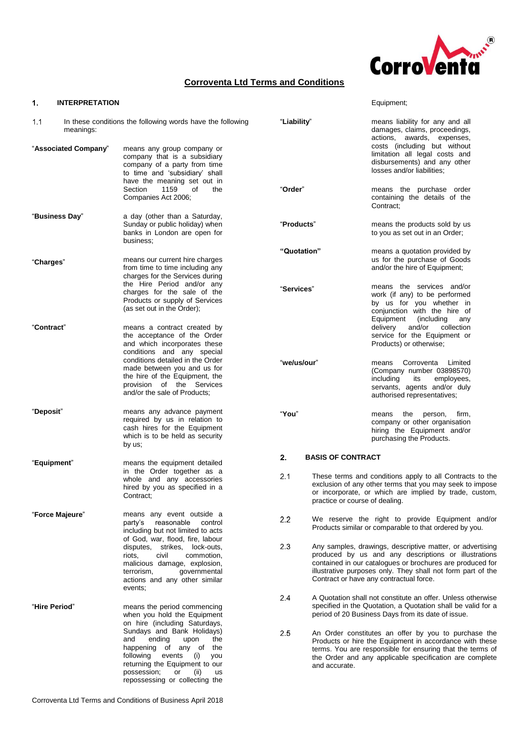

Equipment;

# **Corroventa Ltd Terms and Conditions**

### **INTERPRETATION**  $\mathbf{1}$ .

| 1.1                  | In these conditions the following words have the following<br>meanings: |                                                                                                                                                                                                                                          | "Liability" |                                | means liability for any and all<br>damages, claims, proceedings,<br>actions, awards, expenses,                                                                                                                                                                                           |
|----------------------|-------------------------------------------------------------------------|------------------------------------------------------------------------------------------------------------------------------------------------------------------------------------------------------------------------------------------|-------------|--------------------------------|------------------------------------------------------------------------------------------------------------------------------------------------------------------------------------------------------------------------------------------------------------------------------------------|
| "Associated Company" |                                                                         | means any group company or<br>company that is a subsidiary<br>company of a party from time<br>to time and 'subsidiary' shall<br>have the meaning set out in                                                                              |             |                                | costs (including but without<br>limitation all legal costs and<br>disbursements) and any other<br>losses and/or liabilities;                                                                                                                                                             |
|                      |                                                                         | Section<br>1159<br>of<br>the<br>Companies Act 2006;                                                                                                                                                                                      | "Order"     |                                | means the purchase order<br>containing the details of the<br>Contract:                                                                                                                                                                                                                   |
| "Business Day"       |                                                                         | a day (other than a Saturday,<br>Sunday or public holiday) when<br>banks in London are open for<br>business;                                                                                                                             | "Products"  |                                | means the products sold by us<br>to you as set out in an Order;                                                                                                                                                                                                                          |
|                      |                                                                         |                                                                                                                                                                                                                                          | "Quotation" |                                | means a quotation provided by                                                                                                                                                                                                                                                            |
| "Charges"            |                                                                         | means our current hire charges<br>from time to time including any<br>charges for the Services during                                                                                                                                     |             |                                | us for the purchase of Goods<br>and/or the hire of Equipment;                                                                                                                                                                                                                            |
|                      |                                                                         | the Hire Period and/or any<br>charges for the sale of the<br>Products or supply of Services<br>(as set out in the Order);                                                                                                                | "Services"  |                                | means the services and/or<br>work (if any) to be performed<br>by us for you whether in<br>conjunction with the hire of<br>Equipment<br>(including)<br>any                                                                                                                                |
| "Contract"           |                                                                         | means a contract created by<br>the acceptance of the Order<br>and which incorporates these<br>conditions and any special                                                                                                                 |             |                                | collection<br>delivery<br>and/or<br>service for the Equipment or<br>Products) or otherwise;                                                                                                                                                                                              |
|                      |                                                                         | conditions detailed in the Order<br>made between you and us for<br>the hire of the Equipment, the<br>provision of the Services<br>and/or the sale of Products;                                                                           | "we/us/our" |                                | Corroventa<br>Limited<br>means<br>(Company number 03898570)<br>including<br>employees,<br>its<br>servants, agents and/or duly<br>authorised representatives;                                                                                                                             |
| "Deposit"            |                                                                         | means any advance payment<br>required by us in relation to<br>cash hires for the Equipment<br>which is to be held as security<br>by us;                                                                                                  | "You"       |                                | the<br>person,<br>firm,<br>means<br>company or other organisation<br>hiring the Equipment and/or<br>purchasing the Products.                                                                                                                                                             |
| "Equipment"          |                                                                         | means the equipment detailed<br>in the Order together as a                                                                                                                                                                               | 2.          | <b>BASIS OF CONTRACT</b>       |                                                                                                                                                                                                                                                                                          |
|                      |                                                                         | whole and any accessories<br>hired by you as specified in a<br>Contract:                                                                                                                                                                 | 2.1         | practice or course of dealing. | These terms and conditions apply to all Contracts to the<br>exclusion of any other terms that you may seek to impose<br>or incorporate, or which are implied by trade, custom,                                                                                                           |
| "Force Majeure"      |                                                                         | means any event outside a<br>reasonable control<br>party's<br>including but not limited to acts<br>of God, war, flood, fire, labour                                                                                                      | 2.2         |                                | We reserve the right to provide Equipment and/or<br>Products similar or comparable to that ordered by you.                                                                                                                                                                               |
|                      |                                                                         | disputes, strikes, lock-outs,<br>riots,<br>civil<br>commotion,<br>malicious damage, explosion,<br>qovernmental<br>terrorism,<br>actions and any other similar<br>events;                                                                 | 2.3         |                                | Any samples, drawings, descriptive matter, or advertising<br>produced by us and any descriptions or illustrations<br>contained in our catalogues or brochures are produced for<br>illustrative purposes only. They shall not form part of the<br>Contract or have any contractual force. |
| "Hire Period"        |                                                                         | means the period commencing<br>when you hold the Equipment<br>on hire (including Saturdays,                                                                                                                                              | 2.4         |                                | A Quotation shall not constitute an offer. Unless otherwise<br>specified in the Quotation, a Quotation shall be valid for a<br>period of 20 Business Days from its date of issue.                                                                                                        |
|                      |                                                                         | Sundays and Bank Holidays)<br>and<br>ending<br>upon<br>the<br>happening of any of the<br>following<br>events<br>(i)<br>you<br>returning the Equipment to our<br>possession;<br>or<br>(ii)<br><b>us</b><br>repossessing or collecting the | 2.5         | and accurate.                  | An Order constitutes an offer by you to purchase the<br>Products or hire the Equipment in accordance with these<br>terms. You are responsible for ensuring that the terms of<br>the Order and any applicable specification are complete                                                  |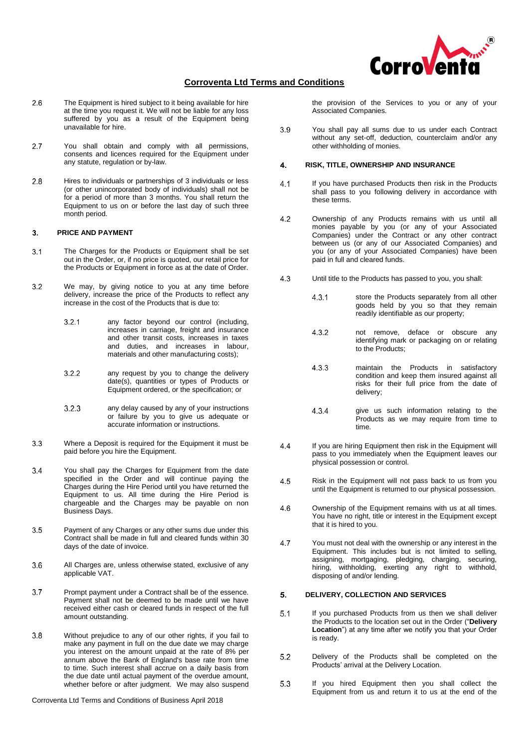

- $2.6$ The Equipment is hired subject to it being available for hire at the time you request it. We will not be liable for any loss suffered by you as a result of the Equipment being unavailable for hire.
- You shall obtain and comply with all permissions,  $27$ consents and licences required for the Equipment under any statute, regulation or by-law.
- $2.8$ Hires to individuals or partnerships of 3 individuals or less (or other unincorporated body of individuals) shall not be for a period of more than 3 months. You shall return the Equipment to us on or before the last day of such three month period.

#### **PRICE AND PAYMENT**  $\mathbf{R}$

- $3.1$ The Charges for the Products or Equipment shall be set out in the Order, or, if no price is quoted, our retail price for the Products or Equipment in force as at the date of Order.
- $3.2$ We may, by giving notice to you at any time before delivery, increase the price of the Products to reflect any increase in the cost of the Products that is due to:
	- $3.2.1$ any factor beyond our control (including, increases in carriage, freight and insurance and other transit costs, increases in taxes and duties, and increases in labour, materials and other manufacturing costs);
	- $3.2.2$ any request by you to change the delivery date(s), quantities or types of Products or Equipment ordered, or the specification; or
	- $3.2.3$ any delay caused by any of your instructions or failure by you to give us adequate or accurate information or instructions.
- $3.3$ Where a Deposit is required for the Equipment it must be paid before you hire the Equipment.
- $3.4$ You shall pay the Charges for Equipment from the date specified in the Order and will continue paying the Charges during the Hire Period until you have returned the Equipment to us. All time during the Hire Period is chargeable and the Charges may be payable on non Business Days.
- $3.5$ Payment of any Charges or any other sums due under this Contract shall be made in full and cleared funds within 30 days of the date of invoice.
- 3.6 All Charges are, unless otherwise stated, exclusive of any applicable VAT.
- $3.7$ Prompt payment under a Contract shall be of the essence. Payment shall not be deemed to be made until we have received either cash or cleared funds in respect of the full amount outstanding.
- $3.8$ Without prejudice to any of our other rights, if you fail to make any payment in full on the due date we may charge you interest on the amount unpaid at the rate of 8% per annum above the Bank of England's base rate from time to time. Such interest shall accrue on a daily basis from the due date until actual payment of the overdue amount, whether before or after judgment. We may also suspend

Corroventa Ltd Terms and Conditions of Business April 2018

the provision of the Services to you or any of your Associated Companies.

3.9 You shall pay all sums due to us under each Contract without any set-off, deduction, counterclaim and/or any other withholding of monies.

#### $\overline{4}$ . **RISK, TITLE, OWNERSHIP AND INSURANCE**

- $4.1$ If you have purchased Products then risk in the Products shall pass to you following delivery in accordance with these terms.
- $4.2$ Ownership of any Products remains with us until all monies payable by you (or any of your Associated Companies) under the Contract or any other contract between us (or any of our Associated Companies) and you (or any of your Associated Companies) have been paid in full and cleared funds.
- $4.3$ Until title to the Products has passed to you, you shall:
	- $4.3.1$ store the Products separately from all other goods held by you so that they remain readily identifiable as our property;
	- 4.3.2 not remove, deface or obscure any identifying mark or packaging on or relating to the Products;
	- maintain the Products in satisfactory  $4.3.3$ condition and keep them insured against all risks for their full price from the date of delivery;
	- 4.3.4 give us such information relating to the Products as we may require from time to time.
- $\overline{44}$ If you are hiring Equipment then risk in the Equipment will pass to you immediately when the Equipment leaves our physical possession or control.
- 4.5 Risk in the Equipment will not pass back to us from you until the Equipment is returned to our physical possession.
- 4.6 Ownership of the Equipment remains with us at all times. You have no right, title or interest in the Equipment except that it is hired to you.
- $4.7$ You must not deal with the ownership or any interest in the Equipment. This includes but is not limited to selling, assigning, mortgaging, pledging, charging, securing, hiring, withholding, exerting any right to withhold, disposing of and/or lending.

#### 5. **DELIVERY, COLLECTION AND SERVICES**

- $5.1$ If you purchased Products from us then we shall deliver the Products to the location set out in the Order ("**Delivery Location**") at any time after we notify you that your Order is ready.
- $5.2$ Delivery of the Products shall be completed on the Products' arrival at the Delivery Location.
- 5.3 If you hired Equipment then you shall collect the Equipment from us and return it to us at the end of the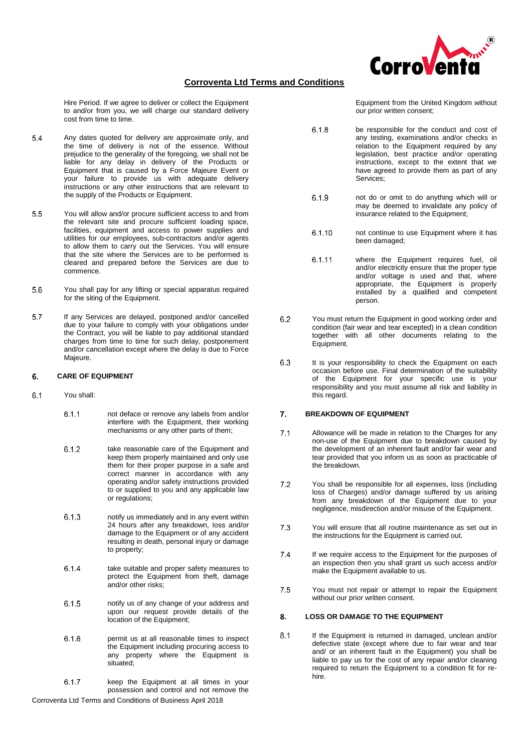

 $6.1.8$ 

Hire Period. If we agree to deliver or collect the Equipment to and/or from you, we will charge our standard delivery cost from time to time.

- $5.4$ Any dates quoted for delivery are approximate only, and the time of delivery is not of the essence. Without prejudice to the generality of the foregoing, we shall not be liable for any delay in delivery of the Products or Equipment that is caused by a Force Majeure Event or your failure to provide us with adequate delivery instructions or any other instructions that are relevant to the supply of the Products or Equipment.
- 5.5 You will allow and/or procure sufficient access to and from the relevant site and procure sufficient loading space, facilities, equipment and access to power supplies and utilities for our employees, sub-contractors and/or agents to allow them to carry out the Services. You will ensure that the site where the Services are to be performed is cleared and prepared before the Services are due to commence.
- 5.6 You shall pay for any lifting or special apparatus required for the siting of the Equipment.
- $5.7$ If any Services are delayed, postponed and/or cancelled due to your failure to comply with your obligations under the Contract, you will be liable to pay additional standard charges from time to time for such delay, postponement and/or cancellation except where the delay is due to Force Majeure.

### 6. **CARE OF EQUIPMENT**

- $6.1$ You shall:
	- $6.1.1$ not deface or remove any labels from and/or interfere with the Equipment, their working mechanisms or any other parts of them;
	- take reasonable care of the Equipment and 6.1.2 keep them properly maintained and only use them for their proper purpose in a safe and correct manner in accordance with any operating and/or safety instructions provided to or supplied to you and any applicable law or regulations;
	- $6.1.3$ notify us immediately and in any event within 24 hours after any breakdown, loss and/or damage to the Equipment or of any accident resulting in death, personal injury or damage to property;
	- $6.1.4$ take suitable and proper safety measures to protect the Equipment from theft, damage and/or other risks;
	- $6.1.5$ notify us of any change of your address and upon our request provide details of the location of the Equipment;
	- permit us at all reasonable times to inspect 6.1.6 the Equipment including procuring access to any property where the Equipment is situated;
	- $6.1.7$ keep the Equipment at all times in your possession and control and not remove the

<span id="page-2-1"></span><span id="page-2-0"></span>Corroventa Ltd Terms and Conditions of Business April 2018

Equipment from the United Kingdom without our prior written consent;

be responsible for the conduct and cost of any testing, examinations and/or checks in relation to the Equipment required by any legislation, best practice and/or operating instructions, except to the extent that we have agreed to provide them as part of any Services;

- 6.1.9 not do or omit to do anything which will or may be deemed to invalidate any policy of insurance related to the Equipment;
- $6.1.10$ not continue to use Equipment where it has been damaged;
- 6.1.11 where the Equipment requires fuel, oil and/or electricity ensure that the proper type and/or voltage is used and that, where appropriate, the Equipment is properly installed by a qualified and competent person.
- $6.2$ You must return the Equipment in good working order and condition (fair wear and tear excepted) in a clean condition together with all other documents relating to the Equipment.
- 6.3 It is your responsibility to check the Equipment on each occasion before use. Final determination of the suitability of the Equipment for your specific use is your responsibility and you must assume all risk and liability in this regard.

### **BREAKDOWN OF EQUIPMENT**  $\overline{7}$ .

- Allowance will be made in relation to the Charges for any  $7.1$ non-use of the Equipment due to breakdown caused by the development of an inherent fault and/or fair wear and tear provided that you inform us as soon as practicable of the breakdown.
- 7.2 You shall be responsible for all expenses, loss (including loss of Charges) and/or damage suffered by us arising from any breakdown of the Equipment due to your negligence, misdirection and/or misuse of the Equipment.
- $7.3$ You will ensure that all routine maintenance as set out in the instructions for the Equipment is carried out.
- $7.4$ If we require access to the Equipment for the purposes of an inspection then you shall grant us such access and/or make the Equipment available to us.
- 7.5 You must not repair or attempt to repair the Equipment without our prior written consent.

### <span id="page-2-2"></span>**LOSS OR DAMAGE TO THE EQUIPMENT** 8.

 $8.1$ If the Equipment is returned in damaged, unclean and/or defective state (except where due to fair wear and tear and/ or an inherent fault in the Equipment) you shall be liable to pay us for the cost of any repair and/or cleaning required to return the Equipment to a condition fit for rehire.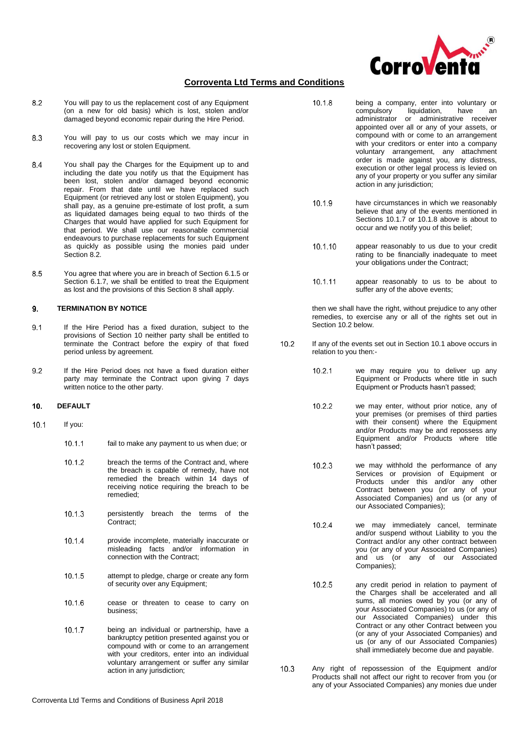

 $10.1.8$ 

- <span id="page-3-0"></span> $8.2$ You will pay to us the replacement cost of any Equipment (on a new for old basis) which is lost, stolen and/or damaged beyond economic repair during the Hire Period.
- 8.3 You will pay to us our costs which we may incur in recovering any lost or stolen Equipment.
- You shall pay the Charges for the Equipment up to and 8.4 including the date you notify us that the Equipment has been lost, stolen and/or damaged beyond economic repair. From that date until we have replaced such Equipment (or retrieved any lost or stolen Equipment), you shall pay, as a genuine pre-estimate of lost profit, a sum as liquidated damages being equal to two thirds of the Charges that would have applied for such Equipment for that period. We shall use our reasonable commercial endeavours to purchase replacements for such Equipment as quickly as possible using the monies paid under Section [8.2.](#page-3-0)
- 8.5 You agree that where you are in breach of Section [6.1.5](#page-2-0) or Section [6.1.7,](#page-2-1) we shall be entitled to treat the Equipment as lost and the provisions of this Section [8](#page-2-2) shall apply.

#### 9. **TERMINATION BY NOTICE**

- $9.1$ If the Hire Period has a fixed duration, subject to the provisions of Section 10 neither party shall be entitled to terminate the Contract before the expiry of that fixed period unless by agreement.
- $9.2$ If the Hire Period does not have a fixed duration either party may terminate the Contract upon giving 7 days written notice to the other party.

#### $10.$ **DEFAULT**

- $10.1$ If you:
	- $10.1.1$ fail to make any payment to us when due; or
	- $10.1.2$ breach the terms of the Contract and, where the breach is capable of remedy, have not remedied the breach within 14 days of receiving notice requiring the breach to be remedied;
	- persistently breach the terms of the  $10.1.3$ Contract;
	- $10.1.4$ provide incomplete, materially inaccurate or misleading facts and/or information in connection with the Contract;
	- 10.1.5 attempt to pledge, charge or create any form of security over any Equipment;
	- 10.1.6 cease or threaten to cease to carry on business;
	- 10.1.7 being an individual or partnership, have a bankruptcy petition presented against you or compound with or come to an arrangement with your creditors, enter into an individual voluntary arrangement or suffer any similar action in any jurisdiction;
- being a company, enter into voluntary or<br>compulsory liquidation, have an liquidation, have an administrator or administrative receiver appointed over all or any of your assets, or compound with or come to an arrangement with your creditors or enter into a company voluntary arrangement, any attachment order is made against you, any distress, execution or other legal process is levied on any of your property or you suffer any similar action in any jurisdiction;
- $10.1.9$ have circumstances in which we reasonably believe that any of the events mentioned in Sections 10.1.7 or 10.1.8 above is about to occur and we notify you of this belief;
- 10.1.10 appear reasonably to us due to your credit rating to be financially inadequate to meet your obligations under the Contract;
- 10.1.11 appear reasonably to us to be about to suffer any of the above events:

then we shall have the right, without prejudice to any other remedies, to exercise any or all of the rights set out in Section 10.2 below.

- $10.2$ If any of the events set out in Section 10.1 above occurs in relation to you then:-
	- $10.2.1$ we may require you to deliver up any Equipment or Products where title in such Equipment or Products hasn't passed;
	- $10.2.2$ we may enter, without prior notice, any of your premises (or premises of third parties with their consent) where the Equipment and/or Products may be and repossess any Equipment and/or Products where title hasn't passed;
	- $10.2.3$ we may withhold the performance of any Services or provision of Equipment or Products under this and/or any other Contract between you (or any of your Associated Companies) and us (or any of our Associated Companies);
	- 10.2.4 we may immediately cancel, terminate and/or suspend without Liability to you the Contract and/or any other contract between you (or any of your Associated Companies) and us (or any of our Associated Companies);
	- 10.2.5 any credit period in relation to payment of the Charges shall be accelerated and all sums, all monies owed by you (or any of your Associated Companies) to us (or any of our Associated Companies) under this Contract or any other Contract between you (or any of your Associated Companies) and us (or any of our Associated Companies) shall immediately become due and payable.
- $10.3$ Any right of repossession of the Equipment and/or Products shall not affect our right to recover from you (or any of your Associated Companies) any monies due under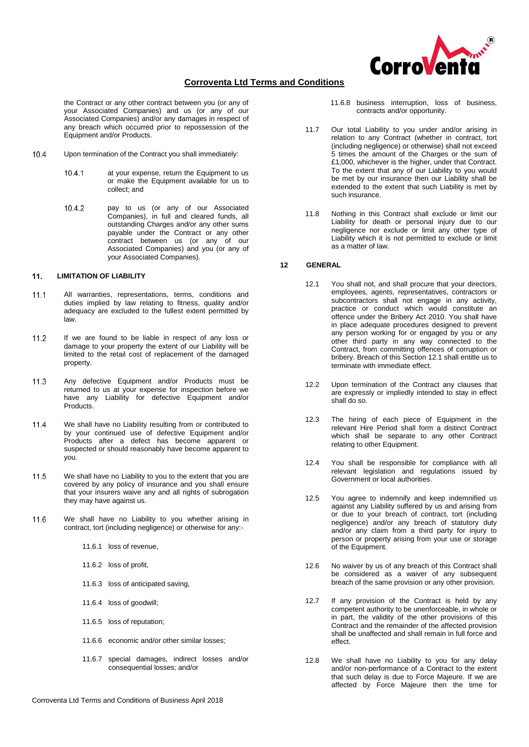

the Contract or any other contract between you (or any of your Associated Companies) and us (or any of our Associated Companies) and/or any damages in respect of any breach which occurred prior to repossession of the Equipment and/or Products.

- 10.4 Upon termination of the Contract you shall immediately:
	- $10.4.1$ at your expense, return the Equipment to us or make the Equipment available for us to collect; and
	- pay to us (or any of our Associated 10.4.2 Companies), in full and cleared funds, all outstanding Charges and/or any other sums payable under the Contract or any other contract between us (or any of our Associated Companies) and you (or any of your Associated Companies).

#### $11.$ **LIMITATION OF LIABILITY**

- All warranties, representations, terms, conditions and  $111$ duties implied by law relating to fitness, quality and/or adequacy are excluded to the fullest extent permitted by law.
- $11.2$ If we are found to be liable in respect of any loss or damage to your property the extent of our Liability will be limited to the retail cost of replacement of the damaged property.
- Any defective Equipment and/or Products must be 11.3 returned to us at your expense for inspection before we have any Liability for defective Equipment and/or Products.
- $11.4$ We shall have no Liability resulting from or contributed to by your continued use of defective Equipment and/or Products after a defect has become apparent or suspected or should reasonably have become apparent to you.
- 11.5 We shall have no Liability to you to the extent that you are covered by any policy of insurance and you shall ensure that your insurers waive any and all rights of subrogation they may have against us.
- 11.6 We shall have no Liability to you whether arising in contract, tort (including negligence) or otherwise for any:-
	- 11.6.1 loss of revenue,
	- 11.6.2 loss of profit,
	- 11.6.3 loss of anticipated saving,
	- 11.6.4 loss of goodwill;
	- 11.6.5 loss of reputation;
	- 11.6.6 economic and/or other similar losses;
	- 11.6.7 special damages, indirect losses and/or consequential losses; and/or
- 11.6.8 business interruption, loss of business, contracts and/or opportunity.
- 11.7 Our total Liability to you under and/or arising in relation to any Contract (whether in contract, tort (including negligence) or otherwise) shall not exceed 5 times the amount of the Charges or the sum of £1,000, whichever is the higher, under that Contract. To the extent that any of our Liability to you would be met by our insurance then our Liability shall be extended to the extent that such Liability is met by such insurance.
- 11.8 Nothing in this Contract shall exclude or limit our Liability for death or personal injury due to our negligence nor exclude or limit any other type of Liability which it is not permitted to exclude or limit as a matter of law.

### **12 GENERAL**

- 12.1 You shall not, and shall procure that your directors, employees, agents, representatives, contractors or subcontractors shall not engage in any activity, practice or conduct which would constitute an offence under the Bribery Act 2010. You shall have in place adequate procedures designed to prevent any person working for or engaged by you or any other third party in any way connected to the Contract, from committing offences of corruption or bribery. Breach of this Section 12.1 shall entitle us to terminate with immediate effect.
- 12.2 Upon termination of the Contract any clauses that are expressly or impliedly intended to stay in effect shall do so.
- 12.3 The hiring of each piece of Equipment in the relevant Hire Period shall form a distinct Contract which shall be separate to any other Contract relating to other Equipment.
- 12.4 You shall be responsible for compliance with all relevant legislation and regulations issued by Government or local authorities.
- 12.5 You agree to indemnify and keep indemnified us against any Liability suffered by us and arising from or due to your breach of contract, tort (including negligence) and/or any breach of statutory duty and/or any claim from a third party for injury to person or property arising from your use or storage of the Equipment.
- 12.6 No waiver by us of any breach of this Contract shall be considered as a waiver of any subsequent breach of the same provision or any other provision.
- 12.7 If any provision of the Contract is held by any competent authority to be unenforceable, in whole or in part, the validity of the other provisions of this Contract and the remainder of the affected provision shall be unaffected and shall remain in full force and effect.
- 12.8 We shall have no Liability to you for any delay and/or non-performance of a Contract to the extent that such delay is due to Force Majeure. If we are affected by Force Majeure then the time for